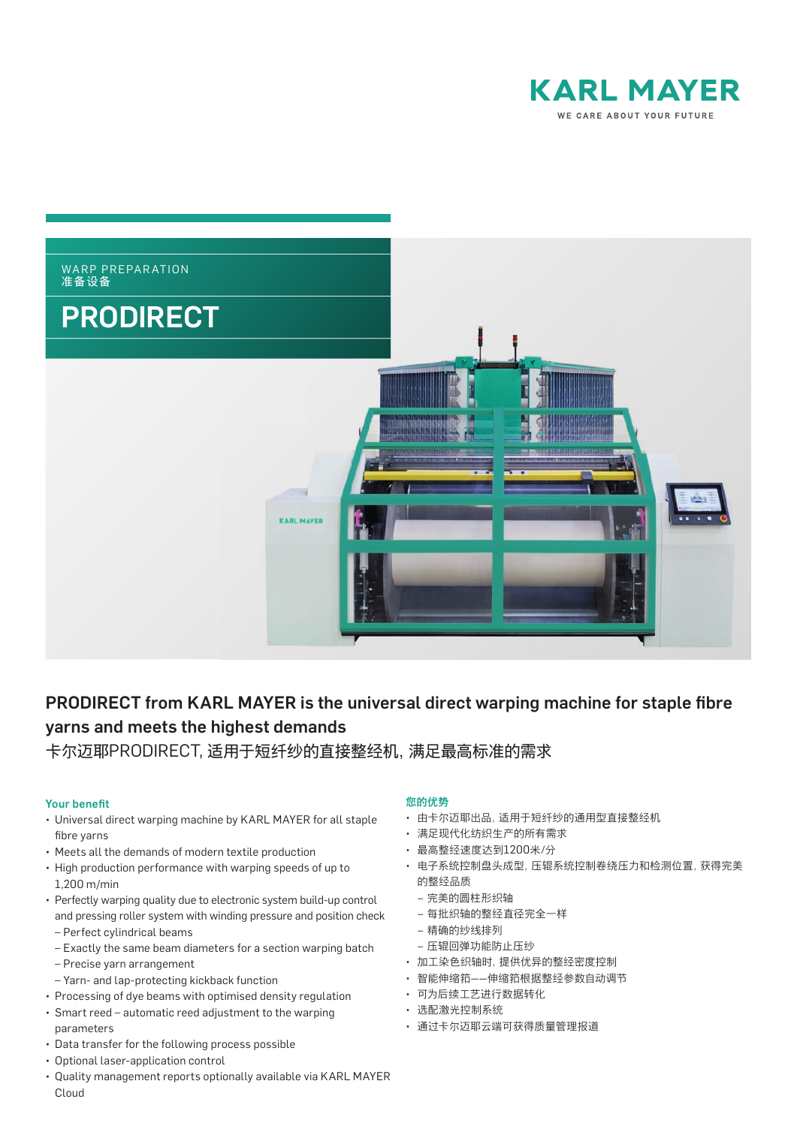



# PRODIRECT from KARL MAYER is the universal direct warping machine for staple fibre yarns and meets the highest demands

卡尔迈耶PRODIRECT, 适用于短纤纱的直接整经机,满足最高标准的需求

#### **Your benefit**

- Universal direct warping machine by KARL MAYER for all staple fibre yarns
- • Meets all the demands of modern textile production
- High production performance with warping speeds of up to 1,200 m/min
- Perfectly warping quality due to electronic system build-up control and pressing roller system with winding pressure and position check – Perfect cylindrical beams
	- Exactly the same beam diameters for a section warping batch
	- Precise yarn arrangement
- Yarn- and lap-protecting kickback function
- Processing of dye beams with optimised density regulation
- Smart reed automatic reed adjustment to the warping
- parameters
- Data transfer for the following process possible
- Optional laser-application control
- • Quality management reports optionally available via KARL MAYER Cloud

### 你的优热

- 由卡尔迈耶出品,适用于短纤纱的通用型直接整经机
- 满足现代化纺织生产的所有需求
- 最高整经速度达到1200米/分
- 电子系统控制盘头成型,压辊系统控制卷绕压力和检测位置,获得完美 的整经品质
	- 完美的圆柱形织轴
	- 每批织轴的整经直径完全一样
	- 精确的纱线排列
	- 压辊回弹功能防止压纱
- 加工染色织轴时,提供优异的整经密度控制
- 智能伸缩筘——伸缩筘根据整经参数自动调节
- 可为后续工艺进行数据转化
- 选配激光控制系统
- 通过卡尔迈耶云端可获得质量管理报道